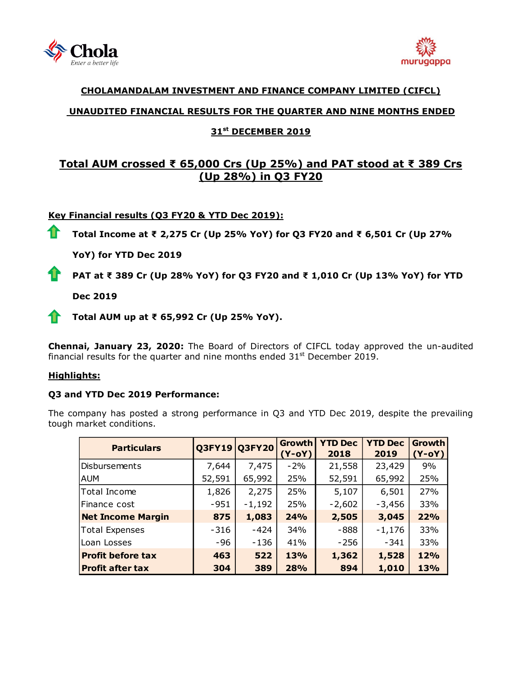



# **CHOLAMANDALAM INVESTMENT AND FINANCE COMPANY LIMITED (CIFCL)**

# **UNAUDITED FINANCIAL RESULTS FOR THE QUARTER AND NINE MONTHS ENDED**

# **31 st DECEMBER 2019**

# **Total AUM crossed ₹ 65,000 Crs (Up 25%) and PAT stood at ₹ 389 Crs (Up 28%) in Q3 FY20**

## **Key Financial results (Q3 FY20 & YTD Dec 2019):**

11 **Total Income at ₹ 2,275 Cr (Up 25% YoY) for Q3 FY20 and ₹ 6,501 Cr (Up 27%** 

**YoY) for YTD Dec 2019**

**PAT at ₹ 389 Cr (Up 28% YoY) for Q3 FY20 and ₹ 1,010 Cr (Up 13% YoY) for YTD**

**Dec 2019**

**Total AUM up at ₹ 65,992 Cr (Up 25% YoY).**

**Chennai, January 23, 2020:** The Board of Directors of [CIFCL](http://www.cholamandalam.com/) today approved the un-audited financial results for the quarter and nine months ended  $31<sup>st</sup>$  December 2019.

### **Highlights:**

### **Q3 and YTD Dec 2019 Performance:**

The company has posted a strong performance in Q3 and YTD Dec 2019, despite the prevailing tough market conditions.

| <b>Particulars</b>       |        | Q3FY19 Q3FY20 | <b>Growth</b><br>$(Y-oY)$ | <b>YTD Dec</b><br>2018 | <b>YTD Dec</b><br>2019 | <b>Growth</b><br>$(Y-oY)$ |
|--------------------------|--------|---------------|---------------------------|------------------------|------------------------|---------------------------|
| Disbursements            | 7,644  | 7,475         | $-2\%$                    | 21,558                 | 23,429                 | 9%                        |
| AUM                      | 52,591 | 65,992        | 25%                       | 52,591                 | 65,992                 | 25%                       |
| Total Income             | 1,826  | 2,275         | 25%                       | 5,107                  | 6,501                  | 27%                       |
| Finance cost             | $-951$ | $-1,192$      | 25%                       | $-2,602$               | $-3,456$               | 33%                       |
| <b>Net Income Margin</b> | 875    | 1,083         | 24%                       | 2,505                  | 3,045                  | 22%                       |
| <b>Total Expenses</b>    | $-316$ | $-424$        | 34%                       | $-888$                 | $-1,176$               | 33%                       |
| Loan Losses              | -96    | -136          | 41%                       | $-256$                 | $-341$                 | 33%                       |
| <b>Profit before tax</b> | 463    | 522           | <b>13%</b>                | 1,362                  | 1,528                  | 12%                       |
| <b>Profit after tax</b>  | 304    | 389           | 28%                       | 894                    | 1,010                  | 13%                       |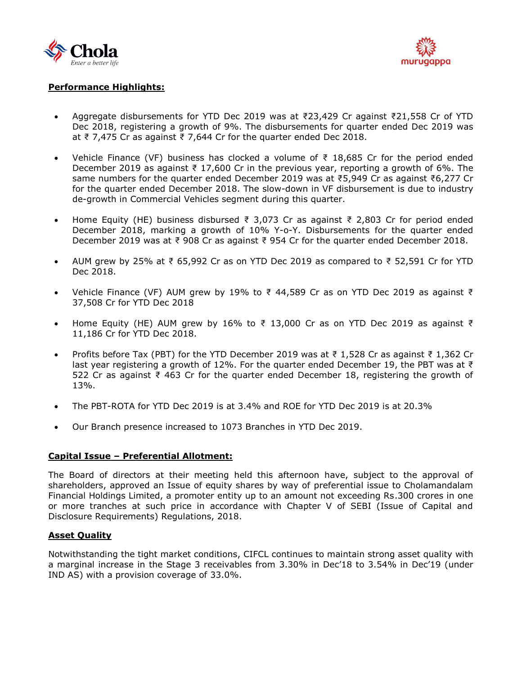



# **Performance Highlights:**

- Aggregate disbursements for YTD Dec 2019 was at ₹23,429 Cr against ₹21,558 Cr of YTD Dec 2018, registering a growth of 9%. The disbursements for quarter ended Dec 2019 was at ₹ 7,475 Cr as against ₹ 7,644 Cr for the quarter ended Dec 2018.
- Vehicle Finance (VF) business has clocked a volume of ₹ 18,685 Cr for the period ended December 2019 as against ₹ 17,600 Cr in the previous year, reporting a growth of 6%. The same numbers for the quarter ended December 2019 was at ₹5,949 Cr as against ₹6,277 Cr for the quarter ended December 2018. The slow-down in VF disbursement is due to industry de-growth in Commercial Vehicles segment during this quarter.
- Home Equity (HE) business disbursed ₹ 3,073 Cr as against ₹ 2,803 Cr for period ended December 2018, marking a growth of 10% Y-o-Y. Disbursements for the quarter ended December 2019 was at ₹ 908 Cr as against ₹ 954 Cr for the quarter ended December 2018.
- AUM grew by 25% at ₹ 65,992 Cr as on YTD Dec 2019 as compared to ₹ 52,591 Cr for YTD Dec 2018.
- Vehicle Finance (VF) AUM grew by 19% to ₹ 44,589 Cr as on YTD Dec 2019 as against ₹ 37,508 Cr for YTD Dec 2018
- Home Equity (HE) AUM grew by 16% to ₹ 13,000 Cr as on YTD Dec 2019 as against ₹ 11,186 Cr for YTD Dec 2018.
- Profits before Tax (PBT) for the YTD December 2019 was at ₹ 1,528 Cr as against ₹ 1,362 Cr last year registering a growth of 12%. For the quarter ended December 19, the PBT was at ₹ 522 Cr as against ₹ 463 Cr for the quarter ended December 18, registering the growth of 13%.
- The PBT-ROTA for YTD Dec 2019 is at 3.4% and ROE for YTD Dec 2019 is at 20.3%
- Our Branch presence increased to 1073 Branches in YTD Dec 2019.

#### **Capital Issue – Preferential Allotment:**

The Board of directors at their meeting held this afternoon have, subject to the approval of shareholders, approved an Issue of equity shares by way of preferential issue to Cholamandalam Financial Holdings Limited, a promoter entity up to an amount not exceeding Rs.300 crores in one or more tranches at such price in accordance with Chapter V of SEBI (Issue of Capital and Disclosure Requirements) Regulations, 2018.

#### **Asset Quality**

Notwithstanding the tight market conditions, CIFCL continues to maintain strong asset quality with a marginal increase in the Stage 3 receivables from 3.30% in Dec'18 to 3.54% in Dec'19 (under IND AS) with a provision coverage of 33.0%.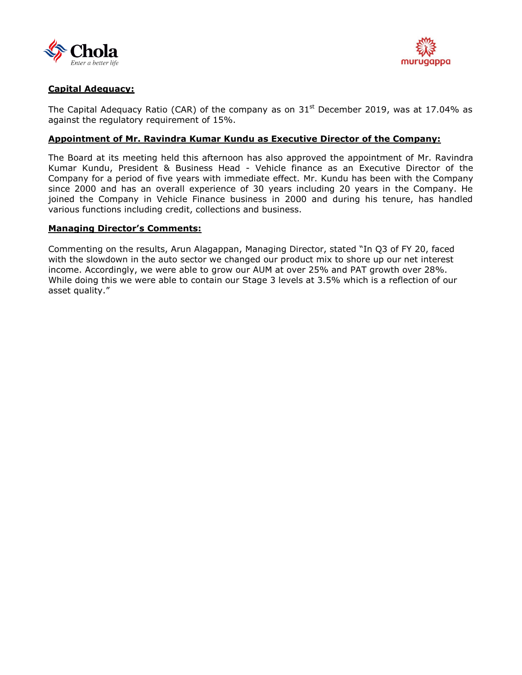



# **Capital Adequacy:**

The Capital Adequacy Ratio (CAR) of the company as on  $31<sup>st</sup>$  December 2019, was at 17.04% as against the regulatory requirement of 15%.

### **Appointment of Mr. Ravindra Kumar Kundu as Executive Director of the Company:**

The Board at its meeting held this afternoon has also approved the appointment of Mr. Ravindra Kumar Kundu, President & Business Head - Vehicle finance as an Executive Director of the Company for a period of five years with immediate effect. Mr. Kundu has been with the Company since 2000 and has an overall experience of 30 years including 20 years in the Company. He joined the Company in Vehicle Finance business in 2000 and during his tenure, has handled various functions including credit, collections and business.

### **Managing Director's Comments:**

Commenting on the results, Arun Alagappan, Managing Director, stated "In Q3 of FY 20, faced with the slowdown in the auto sector we changed our product mix to shore up our net interest income. Accordingly, we were able to grow our AUM at over 25% and PAT growth over 28%. While doing this we were able to contain our Stage 3 levels at 3.5% which is a reflection of our asset quality."